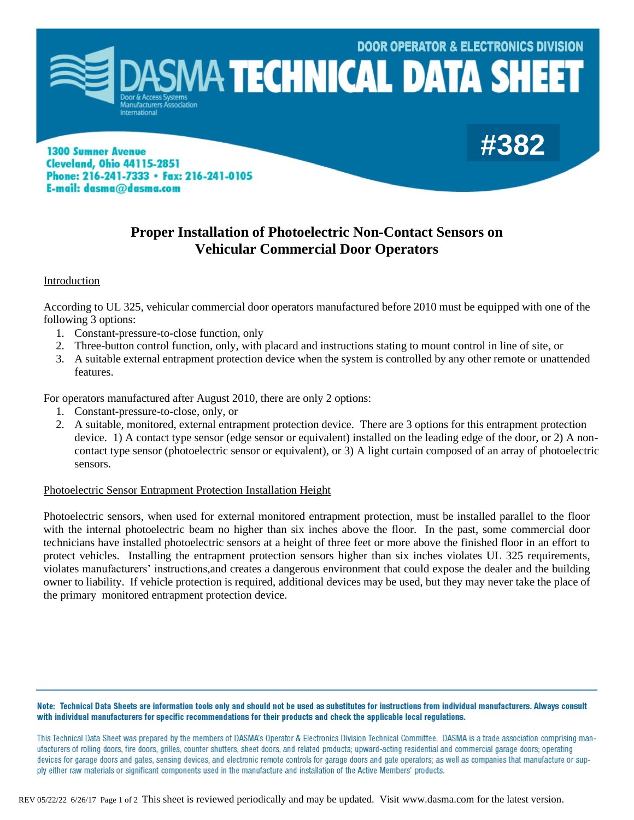

**1300 Sumner Avenue Cleveland, Ohio 44115-2851** Phone: 216-241-7333 • Fax: 216-241-0105 E-mail: dasma@dasma.com

# **Proper Installation of Photoelectric Non-Contact Sensors on Vehicular Commercial Door Operators**

# Introduction

According to UL 325, vehicular commercial door operators manufactured before 2010 must be equipped with one of the following 3 options:

- 1. Constant-pressure-to-close function, only
- 2. Three-button control function, only, with placard and instructions stating to mount control in line of site, or
- 3. A suitable external entrapment protection device when the system is controlled by any other remote or unattended features.

For operators manufactured after August 2010, there are only 2 options:

- 1. Constant-pressure-to-close, only, or
- 2. A suitable, monitored, external entrapment protection device. There are 3 options for this entrapment protection device. 1) A contact type sensor (edge sensor or equivalent) installed on the leading edge of the door, or 2) A noncontact type sensor (photoelectric sensor or equivalent), or 3) A light curtain composed of an array of photoelectric sensors.

#### Photoelectric Sensor Entrapment Protection Installation Height

Photoelectric sensors, when used for external monitored entrapment protection, must be installed parallel to the floor with the internal photoelectric beam no higher than six inches above the floor. In the past, some commercial door technicians have installed photoelectric sensors at a height of three feet or more above the finished floor in an effort to protect vehicles. Installing the entrapment protection sensors higher than six inches violates UL 325 requirements, violates manufacturers' instructions,and creates a dangerous environment that could expose the dealer and the building owner to liability. If vehicle protection is required, additional devices may be used, but they may never take the place of the primary monitored entrapment protection device.

Note: Technical Data Sheets are information tools only and should not be used as substitutes for instructions from individual manufacturers. Always consult with individual manufacturers for specific recommendations for their products and check the applicable local regulations.

This Technical Data Sheet was prepared by the members of DASMA's Operator & Electronics Division Technical Committee. DASMA is a trade association comprising manufacturers of rolling doors, fire doors, grilles, counter shutters, sheet doors, and related products; upward-acting residential and commercial garage doors; operating devices for garage doors and gates, sensing devices, and electronic remote controls for garage doors and gate operators; as well as companies that manufacture or supply either raw materials or significant components used in the manufacture and installation of the Active Members' products.

REV 05/22/22 6/26/17 Page 1 of 2 This sheet is reviewed periodically and may be updated. Visit www.dasma.com for the latest version.